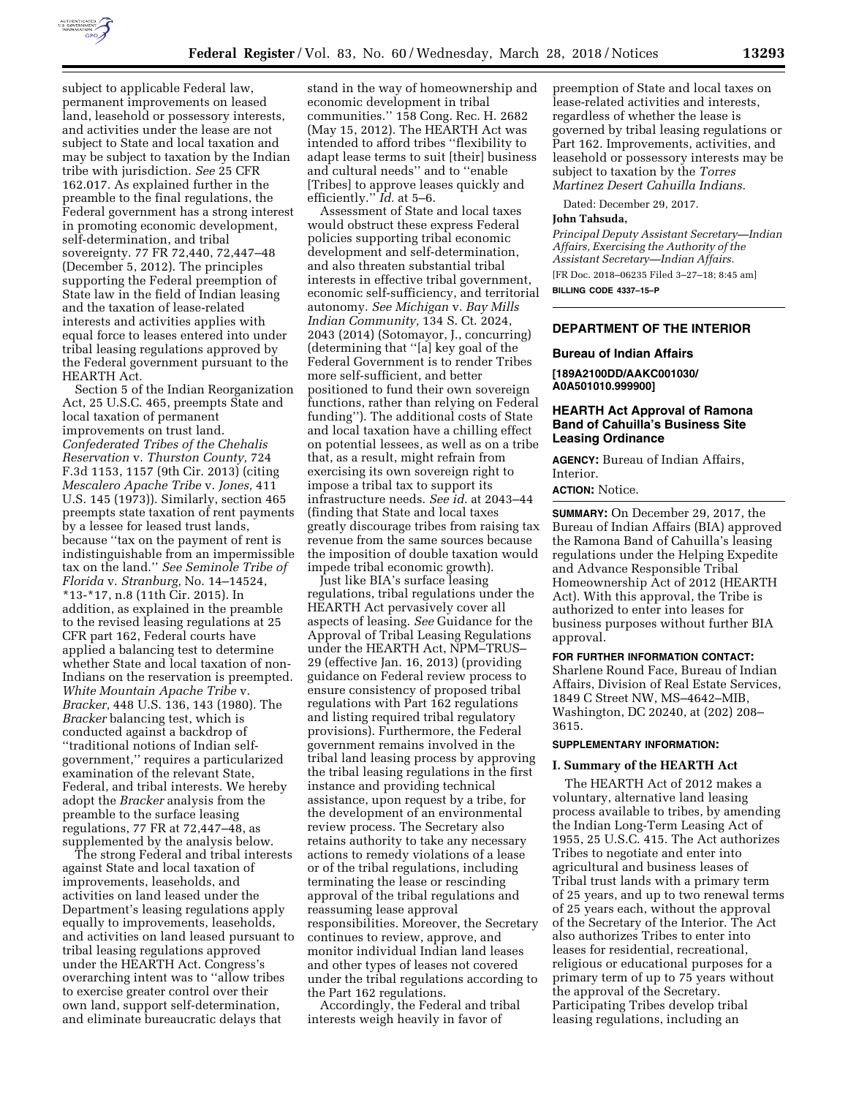

subject to applicable Federal law, permanent improvements on leased land, leasehold or possessory interests, and activities under the lease are not subject to State and local taxation and may be subject to taxation by the Indian tribe with jurisdiction. *See* 25 CFR 162.017. As explained further in the preamble to the final regulations, the Federal government has a strong interest in promoting economic development, self-determination, and tribal sovereignty. 77 FR 72,440, 72,447–48 (December 5, 2012). The principles supporting the Federal preemption of State law in the field of Indian leasing and the taxation of lease-related interests and activities applies with equal force to leases entered into under tribal leasing regulations approved by the Federal government pursuant to the HEARTH Act.

Section 5 of the Indian Reorganization Act, 25 U.S.C. 465, preempts State and local taxation of permanent improvements on trust land. *Confederated Tribes of the Chehalis Reservation* v. *Thurston County,* 724 F.3d 1153, 1157 (9th Cir. 2013) (citing *Mescalero Apache Tribe* v. *Jones,* 411 U.S. 145 (1973)). Similarly, section 465 preempts state taxation of rent payments by a lessee for leased trust lands, because ''tax on the payment of rent is indistinguishable from an impermissible tax on the land.'' *See Seminole Tribe of Florida* v. *Stranburg,* No. 14–14524, \*13-\*17, n.8 (11th Cir. 2015). In addition, as explained in the preamble to the revised leasing regulations at 25 CFR part 162, Federal courts have applied a balancing test to determine whether State and local taxation of non-Indians on the reservation is preempted. *White Mountain Apache Tribe* v. *Bracker,* 448 U.S. 136, 143 (1980). The *Bracker* balancing test, which is conducted against a backdrop of ''traditional notions of Indian selfgovernment,'' requires a particularized examination of the relevant State, Federal, and tribal interests. We hereby adopt the *Bracker* analysis from the preamble to the surface leasing regulations, 77 FR at 72,447–48, as supplemented by the analysis below.

The strong Federal and tribal interests against State and local taxation of improvements, leaseholds, and activities on land leased under the Department's leasing regulations apply equally to improvements, leaseholds, and activities on land leased pursuant to tribal leasing regulations approved under the HEARTH Act. Congress's overarching intent was to ''allow tribes to exercise greater control over their own land, support self-determination, and eliminate bureaucratic delays that

stand in the way of homeownership and economic development in tribal communities.'' 158 Cong. Rec. H. 2682 (May 15, 2012). The HEARTH Act was intended to afford tribes ''flexibility to adapt lease terms to suit [their] business and cultural needs'' and to ''enable [Tribes] to approve leases quickly and efficiently.'' *Id.* at 5–6.

Assessment of State and local taxes would obstruct these express Federal policies supporting tribal economic development and self-determination, and also threaten substantial tribal interests in effective tribal government, economic self-sufficiency, and territorial autonomy. *See Michigan* v. *Bay Mills Indian Community,* 134 S. Ct. 2024, 2043 (2014) (Sotomayor, J., concurring) (determining that ''[a] key goal of the Federal Government is to render Tribes more self-sufficient, and better positioned to fund their own sovereign functions, rather than relying on Federal funding''). The additional costs of State and local taxation have a chilling effect on potential lessees, as well as on a tribe that, as a result, might refrain from exercising its own sovereign right to impose a tribal tax to support its infrastructure needs. *See id.* at 2043–44 (finding that State and local taxes greatly discourage tribes from raising tax revenue from the same sources because the imposition of double taxation would impede tribal economic growth).

Just like BIA's surface leasing regulations, tribal regulations under the HEARTH Act pervasively cover all aspects of leasing. *See* Guidance for the Approval of Tribal Leasing Regulations under the HEARTH Act, NPM–TRUS– 29 (effective Jan. 16, 2013) (providing guidance on Federal review process to ensure consistency of proposed tribal regulations with Part 162 regulations and listing required tribal regulatory provisions). Furthermore, the Federal government remains involved in the tribal land leasing process by approving the tribal leasing regulations in the first instance and providing technical assistance, upon request by a tribe, for the development of an environmental review process. The Secretary also retains authority to take any necessary actions to remedy violations of a lease or of the tribal regulations, including terminating the lease or rescinding approval of the tribal regulations and reassuming lease approval responsibilities. Moreover, the Secretary continues to review, approve, and monitor individual Indian land leases and other types of leases not covered under the tribal regulations according to the Part 162 regulations.

Accordingly, the Federal and tribal interests weigh heavily in favor of

preemption of State and local taxes on lease-related activities and interests, regardless of whether the lease is governed by tribal leasing regulations or Part 162. Improvements, activities, and leasehold or possessory interests may be subject to taxation by the *Torres Martinez Desert Cahuilla Indians.* 

Dated: December 29, 2017.

#### **John Tahsuda,**

*Principal Deputy Assistant Secretary—Indian Affairs, Exercising the Authority of the Assistant Secretary—Indian Affairs.*  [FR Doc. 2018–06235 Filed 3–27–18; 8:45 am]

**BILLING CODE 4337–15–P** 

### **DEPARTMENT OF THE INTERIOR**

#### **Bureau of Indian Affairs**

**[189A2100DD/AAKC001030/ A0A501010.999900]** 

# **HEARTH Act Approval of Ramona Band of Cahuilla's Business Site Leasing Ordinance**

**AGENCY:** Bureau of Indian Affairs, Interior.

### **ACTION:** Notice.

**SUMMARY:** On December 29, 2017, the Bureau of Indian Affairs (BIA) approved the Ramona Band of Cahuilla's leasing regulations under the Helping Expedite and Advance Responsible Tribal Homeownership Act of 2012 (HEARTH Act). With this approval, the Tribe is authorized to enter into leases for business purposes without further BIA approval.

# **FOR FURTHER INFORMATION CONTACT:**

Sharlene Round Face, Bureau of Indian Affairs, Division of Real Estate Services, 1849 C Street NW, MS–4642–MIB, Washington, DC 20240, at (202) 208– 3615.

## **SUPPLEMENTARY INFORMATION:**

#### **I. Summary of the HEARTH Act**

The HEARTH Act of 2012 makes a voluntary, alternative land leasing process available to tribes, by amending the Indian Long-Term Leasing Act of 1955, 25 U.S.C. 415. The Act authorizes Tribes to negotiate and enter into agricultural and business leases of Tribal trust lands with a primary term of 25 years, and up to two renewal terms of 25 years each, without the approval of the Secretary of the Interior. The Act also authorizes Tribes to enter into leases for residential, recreational, religious or educational purposes for a primary term of up to 75 years without the approval of the Secretary. Participating Tribes develop tribal leasing regulations, including an